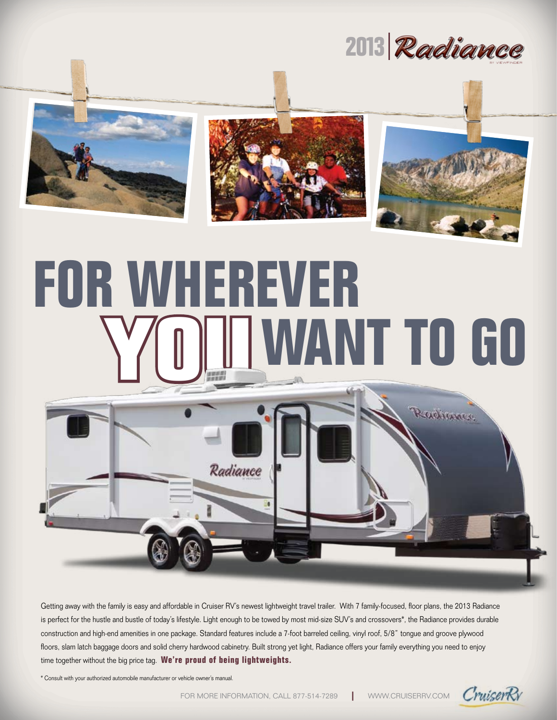







## **For Wherever** WANT TO GO



Getting away with the family is easy and affordable in Cruiser RV's newest lightweight travel trailer. With 7 family-focused, floor plans, the 2013 Radiance is perfect for the hustle and bustle of today's lifestyle. Light enough to be towed by most mid-size SUV's and crossovers\*, the Radiance provides durable construction and high-end amenities in one package. Standard features include a 7-foot barreled ceiling, vinyl roof, 5/8" tongue and groove plywood floors, slam latch baggage doors and solid cherry hardwood cabinetry. Built strong yet light, Radiance offers your family everything you need to enjoy time together without the big price tag. **We're proud of being lightweights.**

\* Consult with your authorized automobile manufacturer or vehicle owner's manual.